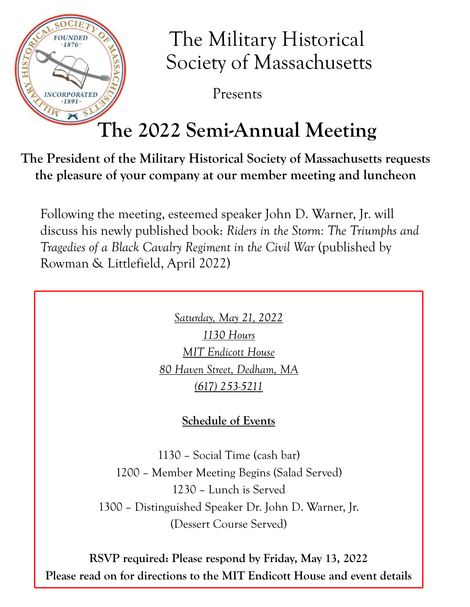

## The Military Historical Society of Massachusetts

Presents

## **The 2022 Semi-Annual Meeting**

**The President of the Military Historical Society of Massachusetts requests the pleasure of your company at our member meeting and luncheon**

Following the meeting, esteemed speaker John D. Warner, Jr. will discuss his newly published book: *Riders in the Storm: The Triumphs and Tragedies of a Black Cavalry Regiment in the Civil War (published by* Rowman & Littlefield, April 2022)

> *Saturday, May 21, 2022 1130 Hours MIT Endicott House 80 Haven Street, Dedham, MA (617) 253-5211*

### **Schedule of Events**

– Social Time (cash bar) – Member Meeting Begins (Salad Served) – Lunch is Served – Distinguished Speaker Dr. John D. Warner, Jr. (Dessert Course Served)

**RSVP required: Please respond by Friday, May 13, 2022 Please read on for directions to the MIT Endicott House and event details**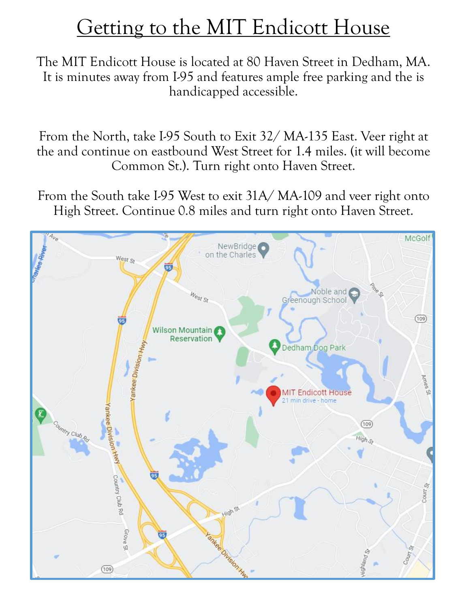## Getting to the MIT Endicott House

The MIT Endicott House is located at 80 Haven Street in Dedham, MA. It is minutes away from I-95 and features ample free parking and the is handicapped accessible.

From the North, take I-95 South to Exit 32/ MA-135 East. Veer right at the and continue on eastbound West Street for 1.4 miles. (it will become Common St.). Turn right onto Haven Street.

From the South take I-95 West to exit 31A/MA-109 and veer right onto High Street. Continue 0.8 miles and turn right onto Haven Street.

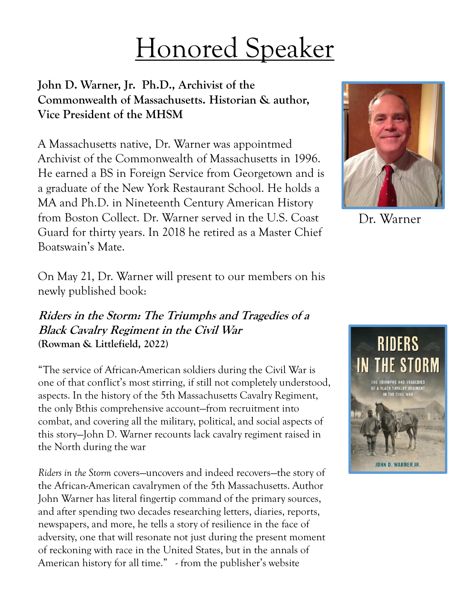# Honored Speaker

### **John D. Warner, Jr. Ph.D., Archivist of the Commonwealth of Massachusetts. Historian & author, Vice President of the MHSM**

A Massachusetts native, Dr. Warner was appointmed Archivist of the Commonwealth of Massachusetts in 1996. He earned a BS in Foreign Service from Georgetown and is a graduate of the New York Restaurant School. He holds a MA and Ph.D. in Nineteenth Century American History from Boston Collect. Dr. Warner served in the U.S. Coast Guard for thirty years. In 2018 he retired as a Master Chief Boatswain's Mate.



Dr. Warner

On May 21, Dr. Warner will present to our members on his newly published book:

#### **Riders in the Storm: The Triumphs and Tragedies of a Black Cavalry Regiment in the Civil War (Rowman & Littlefield, 2022)**

"The service of African-American soldiers during the Civil War is one of that conflict's most stirring, if still not completely understood, aspects. In the history of the 5th Massachusetts Cavalry Regiment, the only Bthis comprehensive account—from recruitment into combat, and covering all the military, political, and social aspects of this story—John D. Warner recounts lack cavalry regiment raised in the North during the war

*Riders in the Storm* covers—uncovers and indeed recovers—the story of the African-American cavalrymen of the 5th Massachusetts. Author John Warner has literal fingertip command of the primary sources, and after spending two decades researching letters, diaries, reports, newspapers, and more, he tells a story of resilience in the face of adversity, one that will resonate not just during the present moment of reckoning with race in the United States, but in the annals of American history for all time." - from the publisher's website